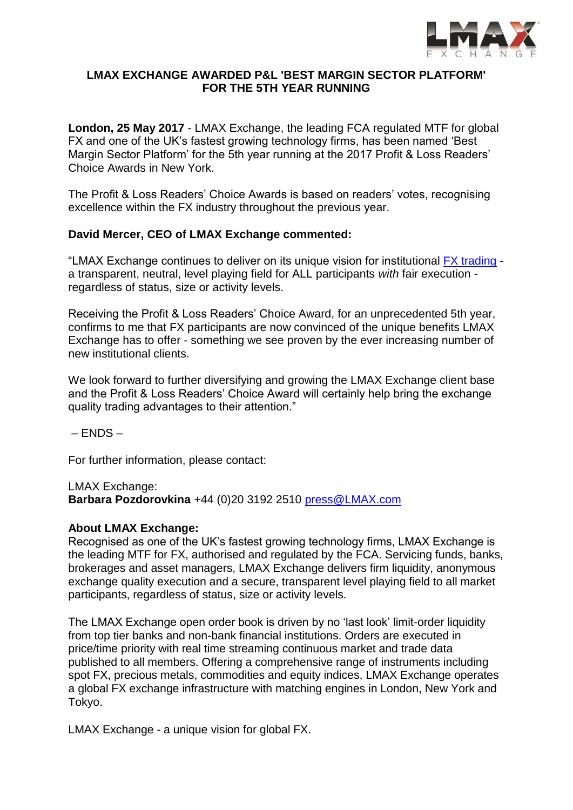

## **LMAX EXCHANGE AWARDED P&L 'BEST MARGIN SECTOR PLATFORM' FOR THE 5TH YEAR RUNNING**

**London, 25 May 2017** - LMAX Exchange, the leading FCA regulated MTF for global FX and one of the UK's fastest growing technology firms, has been named 'Best Margin Sector Platform' for the 5th year running at the 2017 Profit & Loss Readers' Choice Awards in New York.

The Profit & Loss Readers' Choice Awards is based on readers' votes, recognising excellence within the FX industry throughout the previous year.

## **David Mercer, CEO of LMAX Exchange commented:**

"LMAX Exchange continues to deliver on its unique vision for institutional [FX trading](https://www.lmax.com/professional/fx-trading) a transparent, neutral, level playing field for ALL participants *with* fair execution regardless of status, size or activity levels.

Receiving the Profit & Loss Readers' Choice Award, for an unprecedented 5th year, confirms to me that FX participants are now convinced of the unique benefits LMAX Exchange has to offer - something we see proven by the ever increasing number of new institutional clients.

We look forward to further diversifying and growing the LMAX Exchange client base and the Profit & Loss Readers' Choice Award will certainly help bring the exchange quality trading advantages to their attention."

 $-$  FNDS  $-$ 

For further information, please contact:

LMAX Exchange: **Barbara Pozdorovkina** +44 (0)20 3192 2510 [press@LMAX.com](mailto:press@LMAX.com)

## **About LMAX Exchange:**

Recognised as one of the UK's fastest growing technology firms, LMAX Exchange is the leading MTF for FX, authorised and regulated by the FCA. Servicing funds, banks, brokerages and asset managers, LMAX Exchange delivers firm liquidity, anonymous exchange quality execution and a secure, transparent level playing field to all market participants, regardless of status, size or activity levels.

The LMAX Exchange open order book is driven by no 'last look' limit-order liquidity from top tier banks and non-bank financial institutions. Orders are executed in price/time priority with real time streaming continuous market and trade data published to all members. Offering a comprehensive range of instruments including spot FX, precious metals, commodities and equity indices, LMAX Exchange operates a global FX exchange infrastructure with matching engines in London, New York and Tokyo.

LMAX Exchange - a unique vision for global FX.